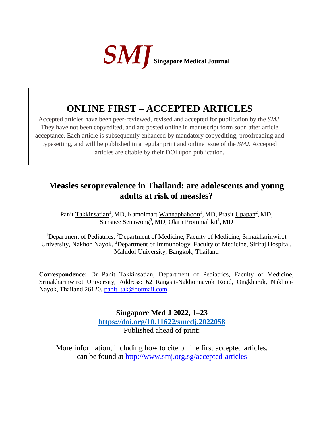

## **ONLINE FIRST – ACCEPTED ARTICLES**

Accepted articles have been peer-reviewed, revised and accepted for publication by the *SMJ*. They have not been copyedited, and are posted online in manuscript form soon after article acceptance. Each article is subsequently enhanced by mandatory copyediting, proofreading and typesetting, and will be published in a regular print and online issue of the *SMJ*. Accepted articles are citable by their DOI upon publication.

## **Measles seroprevalence in Thailand: are adolescents and young adults at risk of measles?**

Panit Takkinsatian<sup>1</sup>, MD, Kamolmart Wannaphahoon<sup>1</sup>, MD, Prasit Upapan<sup>2</sup>, MD, Sansnee <u>Senawong<sup>3</sup>, MD, Olarn Prommalikit<sup>1</sup>, MD</u>

<sup>1</sup>Department of Pediatrics, <sup>2</sup>Department of Medicine, Faculty of Medicine, Srinakharinwirot University, Nakhon Nayok, <sup>3</sup>Department of Immunology, Faculty of Medicine, Siriraj Hospital, Mahidol University, Bangkok, Thailand

**Correspondence:** Dr Panit Takkinsatian, Department of Pediatrics, Faculty of Medicine, Srinakharinwirot University, Address: 62 Rangsit-Nakhonnayok Road, Ongkharak, Nakhon-Nayok, Thailand 26120. [panit\\_tak@hotmail.com](mailto:panit_tak@hotmail.com)

> **Singapore Med J 2022, 1–23 [https://doi.org/1](https://doi.org/10.11622/smedj.2018150)0.11622/smedj.2022058** Published ahead of print:

More information, including how to cite online first accepted articles, can be found at http://www.smj.org.sg/accepted-articles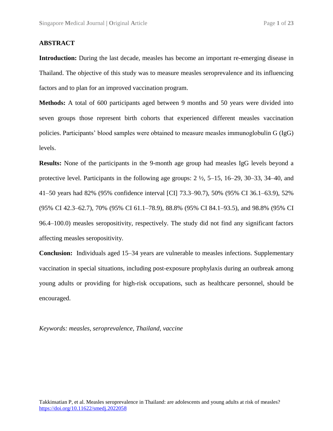#### **ABSTRACT**

**Introduction:** During the last decade, measles has become an important re-emerging disease in Thailand. The objective of this study was to measure measles seroprevalence and its influencing factors and to plan for an improved vaccination program.

**Methods:** A total of 600 participants aged between 9 months and 50 years were divided into seven groups those represent birth cohorts that experienced different measles vaccination policies. Participants' blood samples were obtained to measure measles immunoglobulin G (IgG) levels.

**Results:** None of the participants in the 9-month age group had measles IgG levels beyond a protective level. Participants in the following age groups:  $2 \frac{1}{2}$ ,  $5 - 15$ ,  $16 - 29$ ,  $30 - 33$ ,  $34 - 40$ , and 41–50 years had 82% (95% confidence interval [CI] 73.3–90.7), 50% (95% CI 36.1–63.9), 52% (95% CI 42.3–62.7), 70% (95% CI 61.1–78.9), 88.8% (95% CI 84.1–93.5), and 98.8% (95% CI 96.4–100.0) measles seropositivity, respectively. The study did not find any significant factors affecting measles seropositivity.

**Conclusion:** Individuals aged 15–34 years are vulnerable to measles infections. Supplementary vaccination in special situations, including post-exposure prophylaxis during an outbreak among young adults or providing for high-risk occupations, such as healthcare personnel, should be encouraged.

*Keywords: measles, seroprevalence, Thailand, vaccine*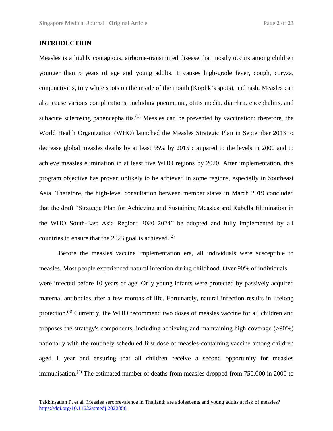#### **INTRODUCTION**

Measles is a highly contagious, airborne-transmitted disease that mostly occurs among children younger than 5 years of age and young adults. It causes high-grade fever, cough, coryza, conjunctivitis, tiny white spots on the inside of the mouth (Koplik's spots), and rash. Measles can also cause various complications, including pneumonia, otitis media, diarrhea, encephalitis, and subacute sclerosing panencephalitis.<sup>(1)</sup> Measles can be prevented by vaccination; therefore, the World Health Organization (WHO) launched the Measles Strategic Plan in September 2013 to decrease global measles deaths by at least 95% by 2015 compared to the levels in 2000 and to achieve measles elimination in at least five WHO regions by 2020. After implementation, this program objective has proven unlikely to be achieved in some regions, especially in Southeast Asia. Therefore, the high-level consultation between member states in March 2019 concluded that the draft "Strategic Plan for Achieving and Sustaining Measles and Rubella Elimination in the WHO South-East Asia Region: 2020–2024" be adopted and fully implemented by all countries to ensure that the 2023 goal is achieved. $(2)$ 

Before the measles vaccine implementation era, all individuals were susceptible to measles. Most people experienced natural infection during childhood. Over 90% of individuals were infected before 10 years of age. Only young infants were protected by passively acquired maternal antibodies after a few months of life. Fortunately, natural infection results in lifelong protection.<sup>(3)</sup> Currently, the WHO recommend two doses of measles vaccine for all children and proposes the strategy's components, including achieving and maintaining high coverage (>90%) nationally with the routinely scheduled first dose of measles-containing vaccine among children aged 1 year and ensuring that all children receive a second opportunity for measles immunisation.<sup>(4)</sup> The estimated number of deaths from measles dropped from 750,000 in 2000 to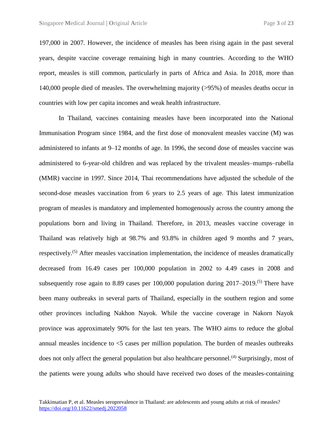197,000 in 2007. However, the incidence of measles has been rising again in the past several years, despite vaccine coverage remaining high in many countries. According to the WHO report, measles is still common, particularly in parts of Africa and Asia. In 2018, more than 140,000 people died of measles. The overwhelming majority (>95%) of measles deaths occur in countries with low per capita incomes and weak health infrastructure.

In Thailand, vaccines containing measles have been incorporated into the National Immunisation Program since 1984, and the first dose of monovalent measles vaccine (M) was administered to infants at 9–12 months of age. In 1996, the second dose of measles vaccine was administered to 6-year-old children and was replaced by the trivalent measles–mumps–rubella (MMR) vaccine in 1997. Since 2014, Thai recommendations have adjusted the schedule of the second-dose measles vaccination from 6 years to 2.5 years of age. This latest immunization program of measles is mandatory and implemented homogenously across the country among the populations born and living in Thailand. Therefore, in 2013, measles vaccine coverage in Thailand was relatively high at 98.7% and 93.8% in children aged 9 months and 7 years, respectively.<sup>(5)</sup> After measles vaccination implementation, the incidence of measles dramatically decreased from 16.49 cases per 100,000 population in 2002 to 4.49 cases in 2008 and subsequently rose again to 8.89 cases per  $100,000$  population during  $2017-2019$ .<sup>(5)</sup> There have been many outbreaks in several parts of Thailand, especially in the southern region and some other provinces including Nakhon Nayok. While the vaccine coverage in Nakorn Nayok province was approximately 90% for the last ten years. The WHO aims to reduce the global annual measles incidence to <5 cases per million population. The burden of measles outbreaks does not only affect the general population but also healthcare personnel.<sup>(4)</sup> Surprisingly, most of the patients were young adults who should have received two doses of the measles-containing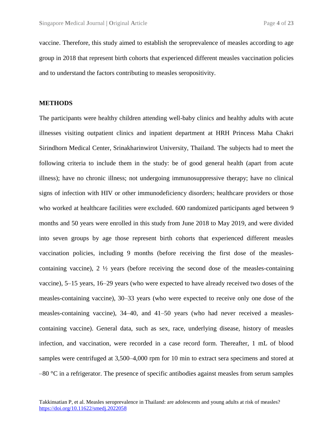vaccine. Therefore, this study aimed to establish the seroprevalence of measles according to age group in 2018 that represent birth cohorts that experienced different measles vaccination policies and to understand the factors contributing to measles seropositivity.

#### **METHODS**

The participants were healthy children attending well-baby clinics and healthy adults with acute illnesses visiting outpatient clinics and inpatient department at HRH Princess Maha Chakri Sirindhorn Medical Center, Srinakharinwirot University, Thailand. The subjects had to meet the following criteria to include them in the study: be of good general health (apart from acute illness); have no chronic illness; not undergoing immunosuppressive therapy; have no clinical signs of infection with HIV or other immunodeficiency disorders; healthcare providers or those who worked at healthcare facilities were excluded. 600 randomized participants aged between 9 months and 50 years were enrolled in this study from June 2018 to May 2019, and were divided into seven groups by age those represent birth cohorts that experienced different measles vaccination policies, including 9 months (before receiving the first dose of the measlescontaining vaccine), 2 ½ years (before receiving the second dose of the measles-containing vaccine), 5–15 years, 16–29 years (who were expected to have already received two doses of the measles-containing vaccine), 30–33 years (who were expected to receive only one dose of the measles-containing vaccine), 34–40, and 41–50 years (who had never received a measlescontaining vaccine). General data, such as sex, race, underlying disease, history of measles infection, and vaccination, were recorded in a case record form. Thereafter, 1 mL of blood samples were centrifuged at 3,500–4,000 rpm for 10 min to extract sera specimens and stored at  $-80$  °C in a refrigerator. The presence of specific antibodies against measles from serum samples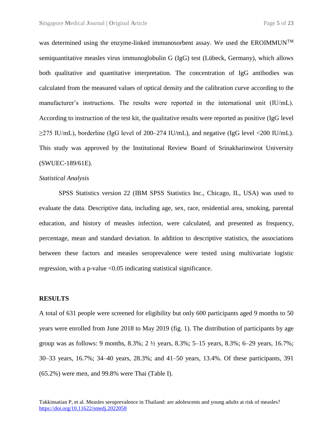was determined using the enzyme-linked immunosorbent assay. We used the EROIMMUN<sup>TM</sup> semiquantitative measles virus immunoglobulin G (IgG) test (Lübeck, Germany), which allows both qualitative and quantitative interpretation. The concentration of IgG antibodies was calculated from the measured values of optical density and the calibration curve according to the manufacturer's instructions. The results were reported in the international unit (IU/mL). According to instruction of the test kit, the qualitative results were reported as positive (IgG level  $\geq$ 275 IU/mL), borderline (IgG level of 200–274 IU/mL), and negative (IgG level <200 IU/mL). This study was approved by the Institutional Review Board of Srinakharinwirot University (SWUEC-189/61E).

#### *Statistical Analysis*

SPSS Statistics version 22 (IBM SPSS Statistics Inc., Chicago, IL, USA) was used to evaluate the data. Descriptive data, including age, sex, race, residential area, smoking, parental education, and history of measles infection, were calculated, and presented as frequency, percentage, mean and standard deviation. In addition to descriptive statistics, the associations between these factors and measles seroprevalence were tested using multivariate logistic regression, with a p-value <0.05 indicating statistical significance.

#### **RESULTS**

A total of 631 people were screened for eligibility but only 600 participants aged 9 months to 50 years were enrolled from June 2018 to May 2019 (fig. 1). The distribution of participants by age group was as follows: 9 months, 8.3%; 2 ½ years, 8.3%; 5–15 years, 8.3%; 6–29 years, 16.7%; 30–33 years, 16.7%; 34–40 years, 28.3%; and 41–50 years, 13.4%. Of these participants, 391 (65.2%) were men, and 99.8% were Thai (Table I).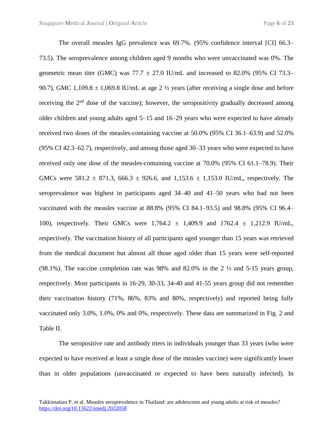The overall measles IgG prevalence was 69.7%. (95% confidence interval [CI] 66.3– 73.5). The seroprevalence among children aged 9 months who were unvaccinated was 0%. The geometric mean titer (GMC) was  $77.7 \pm 27.0$  IU/mL and increased to 82.0% (95% CI 73.3– 90.7), GMC 1,109.8  $\pm$  1,069.8 IU/mL at age 2  $\frac{1}{2}$  years (after receiving a single dose and before receiving the 2<sup>nd</sup> dose of the vaccine); however, the seropositivity gradually decreased among older children and young adults aged 5–15 and 16–29 years who were expected to have already received two doses of the measles-containing vaccine at 50.0% (95% CI 36.1–63.9) and 52.0% (95% CI 42.3–62.7), respectively, and among those aged 30–33 years who were expected to have received only one dose of the measles-containing vaccine at 70.0% (95% CI 61.1–78.9). Their GMCs were 581.2  $\pm$  871.3, 666.3  $\pm$  926.6, and 1,153.6  $\pm$  1,153.0 IU/mL, respectively. The seroprevalence was highest in participants aged 34–40 and 41–50 years who had not been vaccinated with the measles vaccine at 88.8% (95% CI 84.1–93.5) and 98.8% (95% CI 96.4– 100), respectively. Their GMCs were  $1,764.2 \pm 1,409.9$  and  $1762.4 \pm 1,212.9$  IU/mL, respectively. The vaccination history of all participants aged younger than 15 years was retrieved from the medical document but almost all those aged older than 15 years were self-reported (98.1%). The vaccine completion rate was 98% and 82.0% in the 2 ½ and 5-15 years group, respectively. Most participants in 16-29, 30-33, 34-40 and 41-55 years group did not remember their vaccination history (71%, 86%, 83% and 80%, respectively) and reported being fully vaccinated only 3.0%, 1.0%, 0% and 0%, respectively. These data are summarized in Fig. 2 and Table II.

The seropositive rate and antibody titers in individuals younger than 33 years (who were expected to have received at least a single dose of the measles vaccine) were significantly lower than in older populations (unvaccinated or expected to have been naturally infected). In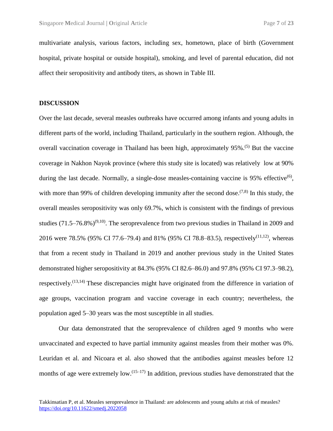multivariate analysis, various factors, including sex, hometown, place of birth (Government hospital, private hospital or outside hospital), smoking, and level of parental education, did not affect their seropositivity and antibody titers, as shown in Table III.

#### **DISCUSSION**

Over the last decade, several measles outbreaks have occurred among infants and young adults in different parts of the world, including Thailand, particularly in the southern region. Although, the overall vaccination coverage in Thailand has been high, approximately 95%.<sup>(5)</sup> But the vaccine coverage in Nakhon Nayok province (where this study site is located) was relatively low at 90% during the last decade. Normally, a single-dose measles-containing vaccine is 95% effective<sup>(6)</sup>, with more than 99% of children developing immunity after the second dose.<sup> $(7,8)$ </sup> In this study, the overall measles seropositivity was only 69.7%, which is consistent with the findings of previous studies  $(71.5-76.8\%)^{(9,10)}$ . The seroprevalence from two previous studies in Thailand in 2009 and 2016 were 78.5% (95% CI 77.6–79.4) and 81% (95% CI 78.8–83.5), respectively<sup>(11,12)</sup>, whereas that from a recent study in Thailand in 2019 and another previous study in the United States demonstrated higher seropositivity at 84.3% (95% CI 82.6–86.0) and 97.8% (95% CI 97.3–98.2), respectively.<sup>(13,14)</sup> These discrepancies might have originated from the difference in variation of age groups, vaccination program and vaccine coverage in each country; nevertheless, the population aged 5–30 years was the most susceptible in all studies.

Our data demonstrated that the seroprevalence of children aged 9 months who were unvaccinated and expected to have partial immunity against measles from their mother was 0%. Leuridan et al. and Nicoara et al. also showed that the antibodies against measles before 12 months of age were extremely low.<sup> $(15-17)$ </sup> In addition, previous studies have demonstrated that the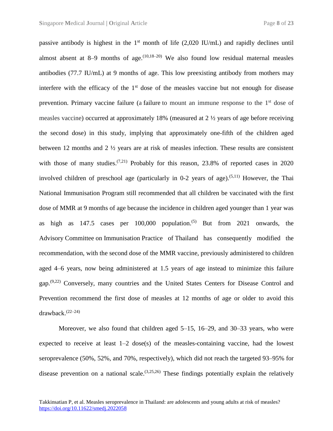passive antibody is highest in the  $1<sup>st</sup>$  month of life (2,020 IU/mL) and rapidly declines until almost absent at 8–9 months of age.  $(10,18-20)$  We also found low residual maternal measles antibodies (77.7 IU/mL) at 9 months of age. This low preexisting antibody from mothers may interfere with the efficacy of the  $1<sup>st</sup>$  dose of the measles vaccine but not enough for disease prevention. Primary vaccine failure (a failure to mount an immune response to the  $1<sup>st</sup>$  dose of measles vaccine) occurred at approximately 18% (measured at 2 ½ years of age before receiving the second dose) in this study, implying that approximately one-fifth of the children aged between 12 months and  $2 \frac{1}{2}$  years are at risk of measles infection. These results are consistent with those of many studies.<sup> $(7,21)$ </sup> Probably for this reason, 23.8% of reported cases in 2020 involved children of preschool age (particularly in 0-2 years of age).<sup>(5,11)</sup> However, the Thai National Immunisation Program still recommended that all children be vaccinated with the first dose of MMR at 9 months of age because the incidence in children aged younger than 1 year was as high as  $147.5$  cases per  $100,000$  population.<sup>(5)</sup> But from 2021 onwards, the Advisory Committee on Immunisation Practice of Thailand has consequently modified the recommendation, with the second dose of the MMR vaccine, previously administered to children aged 4–6 years, now being administered at 1.5 years of age instead to minimize this failure gap.<sup>(9,22)</sup> Conversely, many countries and the United States Centers for Disease Control and Prevention recommend the first dose of measles at 12 months of age or older to avoid this drawback. (22–24)

Moreover, we also found that children aged 5–15, 16–29, and 30–33 years, who were expected to receive at least 1–2 dose(s) of the measles-containing vaccine, had the lowest seroprevalence (50%, 52%, and 70%, respectively), which did not reach the targeted 93–95% for disease prevention on a national scale.  $(3,25,26)$  These findings potentially explain the relatively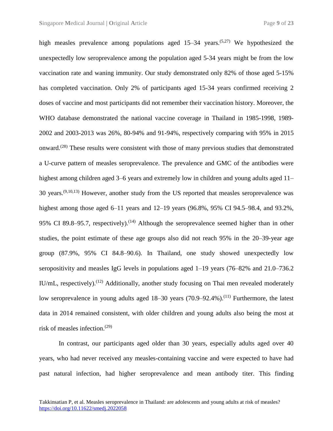high measles prevalence among populations aged 15–34 years.<sup>(5,27)</sup> We hypothesized the unexpectedly low seroprevalence among the population aged 5-34 years might be from the low vaccination rate and waning immunity. Our study demonstrated only 82% of those aged 5-15% has completed vaccination. Only 2% of participants aged 15-34 years confirmed receiving 2 doses of vaccine and most participants did not remember their vaccination history. Moreover, the WHO database demonstrated the national vaccine coverage in Thailand in 1985-1998, 1989- 2002 and 2003-2013 was 26%, 80-94% and 91-94%, respectively comparing with 95% in 2015 onward.<sup>(28)</sup> These results were consistent with those of many previous studies that demonstrated a U-curve pattern of measles seroprevalence. The prevalence and GMC of the antibodies were highest among children aged 3–6 years and extremely low in children and young adults aged 11– 30 years. $(9,10,13)$  However, another study from the US reported that measles seroprevalence was highest among those aged 6–11 years and 12–19 years (96.8%, 95% CI 94.5–98.4, and 93.2%, 95% CI 89.8–95.7, respectively).<sup> $(14)$ </sup> Although the seroprevalence seemed higher than in other studies, the point estimate of these age groups also did not reach 95% in the 20–39-year age group (87.9%, 95% CI 84.8–90.6). In Thailand, one study showed unexpectedly low seropositivity and measles IgG levels in populations aged 1–19 years (76–82% and 21.0–736.2 IU/mL, respectively).<sup>(12)</sup> Additionally, another study focusing on Thai men revealed moderately low seroprevalence in young adults aged 18–30 years (70.9–92.4%).<sup>(11)</sup> Furthermore, the latest data in 2014 remained consistent, with older children and young adults also being the most at risk of measles infection. (29)

In contrast, our participants aged older than 30 years, especially adults aged over 40 years, who had never received any measles-containing vaccine and were expected to have had past natural infection, had higher seroprevalence and mean antibody titer. This finding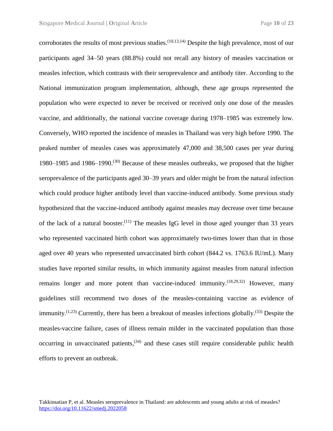corroborates the results of most previous studies.  $(10,13,14)$  Despite the high prevalence, most of our participants aged 34–50 years (88.8%) could not recall any history of measles vaccination or measles infection, which contrasts with their seroprevalence and antibody titer. According to the National immunization program implementation, although, these age groups represented the population who were expected to never be received or received only one dose of the measles vaccine, and additionally, the national vaccine coverage during 1978–1985 was extremely low. Conversely, WHO reported the incidence of measles in Thailand was very high before 1990. The peaked number of measles cases was approximately 47,000 and 38,500 cases per year during 1980–1985 and 1986–1990.<sup>(30)</sup> Because of these measles outbreaks, we proposed that the higher seroprevalence of the participants aged 30–39 years and older might be from the natural infection which could produce higher antibody level than vaccine-induced antibody. Some previous study hypothesized that the vaccine-induced antibody against measles may decrease over time because of the lack of a natural booster.<sup>(11)</sup> The measles IgG level in those aged younger than 33 years who represented vaccinated birth cohort was approximately two-times lower than that in those aged over 40 years who represented unvaccinated birth cohort (844.2 vs. 1763.6 IU/mL). Many studies have reported similar results, in which immunity against measles from natural infection remains longer and more potent than vaccine-induced immunity.  $(18,29,32)$  However, many guidelines still recommend two doses of the measles-containing vaccine as evidence of immunity.<sup> $(1,23)$ </sup> Currently, there has been a breakout of measles infections globally.<sup> $(33)$ </sup> Despite the measles-vaccine failure, cases of illness remain milder in the vaccinated population than those occurring in unvaccinated patients,  $(34)$  and these cases still require considerable public health efforts to prevent an outbreak.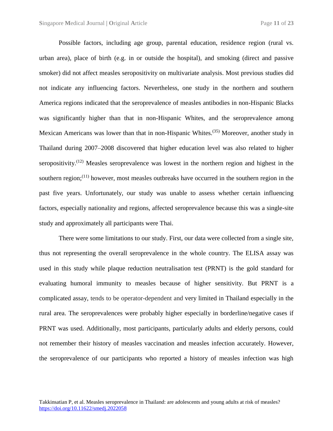Possible factors, including age group, parental education, residence region (rural vs. urban area), place of birth (e.g. in or outside the hospital), and smoking (direct and passive smoker) did not affect measles seropositivity on multivariate analysis. Most previous studies did not indicate any influencing factors. Nevertheless, one study in the northern and southern America regions indicated that the seroprevalence of measles antibodies in non-Hispanic Blacks was significantly higher than that in non-Hispanic Whites, and the seroprevalence among Mexican Americans was lower than that in non-Hispanic Whites.<sup>(35)</sup> Moreover, another study in Thailand during 2007–2008 discovered that higher education level was also related to higher seropositivity.<sup> $(12)$ </sup> Measles seroprevalence was lowest in the northern region and highest in the southern region;<sup>(11)</sup> however, most measles outbreaks have occurred in the southern region in the past five years. Unfortunately, our study was unable to assess whether certain influencing factors, especially nationality and regions, affected seroprevalence because this was a single-site study and approximately all participants were Thai.

There were some limitations to our study. First, our data were collected from a single site, thus not representing the overall seroprevalence in the whole country. The ELISA assay was used in this study while plaque reduction neutralisation test (PRNT) is the gold standard for evaluating humoral immunity to measles because of higher sensitivity. But PRNT is a complicated assay, tends to be operator-dependent and very limited in Thailand especially in the rural area. The seroprevalences were probably higher especially in borderline/negative cases if PRNT was used. Additionally, most participants, particularly adults and elderly persons, could not remember their history of measles vaccination and measles infection accurately. However, the seroprevalence of our participants who reported a history of measles infection was high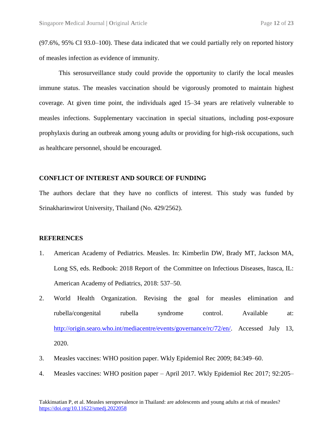(97.6%, 95% CI 93.0–100). These data indicated that we could partially rely on reported history of measles infection as evidence of immunity.

This serosurveillance study could provide the opportunity to clarify the local measles immune status. The measles vaccination should be vigorously promoted to maintain highest coverage. At given time point, the individuals aged 15–34 years are relatively vulnerable to measles infections. Supplementary vaccination in special situations, including post-exposure prophylaxis during an outbreak among young adults or providing for high-risk occupations, such as healthcare personnel, should be encouraged.

#### **CONFLICT OF INTEREST AND SOURCE OF FUNDING**

The authors declare that they have no conflicts of interest. This study was funded by Srinakharinwirot University, Thailand (No. 429/2562).

#### **REFERENCES**

- 1. American Academy of Pediatrics. Measles. In: Kimberlin DW, Brady MT, Jackson MA, Long SS, eds. Redbook: 2018 Report of the Committee on Infectious Diseases, Itasca, IL: American Academy of Pediatrics, 2018: 537–50.
- 2. World Health Organization. Revising the goal for measles elimination and rubella/congenital rubella syndrome control. Available at: [http://origin.searo.who.int/mediacentre/events/governance/rc/72/en/.](http://origin.searo.who.int/mediacentre/events/governance/rc/72/en/) Accessed July 13, 2020.
- 3. Measles vaccines: WHO position paper. Wkly Epidemiol Rec 2009; 84:349–60.
- 4. Measles vaccines: WHO position paper April 2017. Wkly Epidemiol Rec 2017; 92:205–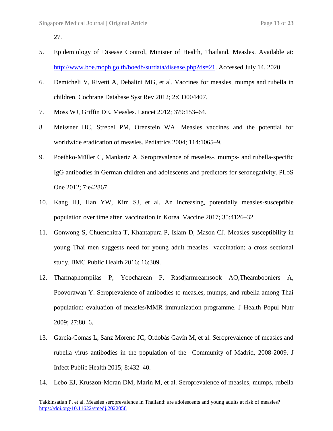27.

- 5. Epidemiology of Disease Control, Minister of Health, Thailand. Measles. Available at: [http://www.boe.moph.go.th/boedb/surdata/disease.php?ds=21.](http://www.boe.moph.go.th/boedb/surdata/disease.php?ds=21) Accessed July 14, 2020.
- 6. Demicheli V, Rivetti A, Debalini MG, et al. Vaccines for measles, mumps and rubella in children. Cochrane Database Syst Rev 2012; 2:CD004407.
- 7. Moss WJ, Griffin DE. Measles. Lancet 2012; 379:153–64.
- 8. Meissner HC, Strebel PM, Orenstein WA. Measles vaccines and the potential for worldwide eradication of measles. Pediatrics 2004; 114:1065–9.
- 9. Poethko-Müller C, Mankertz A. Seroprevalence of measles-, mumps- and rubella-specific IgG antibodies in German children and adolescents and predictors for seronegativity. PLoS One 2012; 7:e42867.
- 10. Kang HJ, Han YW, Kim SJ, et al. An increasing, potentially measles-susceptible population over time after vaccination in Korea. Vaccine 2017; 35:4126–32.
- 11. Gonwong S, Chuenchitra T, Khantapura P, Islam D, Mason CJ. Measles susceptibility in young Thai men suggests need for young adult measles vaccination: a cross sectional study. BMC Public Health 2016; 16:309.
- 12. Tharmaphornpilas P, Yoocharean P, Rasdjarmrearnsook AO,Theamboonlers A, Poovorawan Y. Seroprevalence of antibodies to measles, mumps, and rubella among Thai population: evaluation of measles/MMR immunization programme. J Health Popul Nutr 2009; 27:80–6.
- 13. García-Comas L, Sanz Moreno JC, Ordobás Gavín M, et al. Seroprevalence of measles and rubella virus antibodies in the population of the Community of Madrid, 2008-2009. J Infect Public Health 2015; 8:432–40.
- 14. Lebo EJ, Kruszon-Moran DM, Marin M, et al. Seroprevalence of measles, mumps, rubella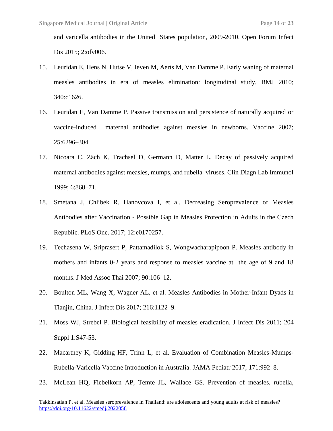and varicella antibodies in the United States population, 2009-2010. Open Forum Infect Dis 2015; 2:ofv006.

- 15. Leuridan E, Hens N, Hutse V, Ieven M, Aerts M, Van Damme P. Early waning of maternal measles antibodies in era of measles elimination: longitudinal study. BMJ 2010; 340:c1626.
- 16. Leuridan E, Van Damme P. Passive transmission and persistence of naturally acquired or vaccine-induced maternal antibodies against measles in newborns. Vaccine 2007; 25:6296–304.
- 17. Nicoara C, Zäch K, Trachsel D, Germann D, Matter L. Decay of passively acquired maternal antibodies against measles, mumps, and rubella viruses. Clin Diagn Lab Immunol 1999; 6:868–71.
- 18. Smetana J, Chlibek R, Hanovcova I, et al. Decreasing Seroprevalence of Measles Antibodies after Vaccination - Possible Gap in Measles Protection in Adults in the Czech Republic. PLoS One. 2017; 12:e0170257.
- 19. Techasena W, Sriprasert P, Pattamadilok S, Wongwacharapipoon P. Measles antibody in mothers and infants 0-2 years and response to measles vaccine at the age of 9 and 18 months. J Med Assoc Thai 2007; 90:106–12.
- 20. Boulton ML, Wang X, Wagner AL, et al. Measles Antibodies in Mother-Infant Dyads in Tianjin, China. J Infect Dis 2017; 216:1122–9.
- 21. Moss WJ, Strebel P. Biological feasibility of measles eradication. J Infect Dis 2011; 204 Suppl 1:S47-53.
- 22. Macartney K, Gidding HF, Trinh L, et al. Evaluation of Combination Measles-Mumps-Rubella-Varicella Vaccine Introduction in Australia. JAMA Pediatr 2017; 171:992–8.
- 23. McLean HQ, Fiebelkorn AP, Temte JL, Wallace GS. Prevention of measles, rubella,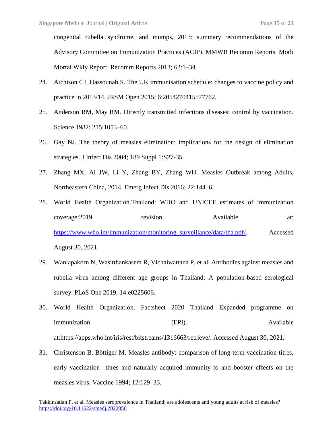congenital rubella syndrome, and mumps, 2013: summary recommendations of the Advisory Committee on Immunization Practices (ACIP). MMWR Recomm Reports Morb Mortal Wkly Report Recomm Reports 2013; 62:1–34.

- 24. Atchison CJ, Hassounah S. The UK immunisation schedule: changes to vaccine policy and practice in 2013/14. JRSM Open 2015; 6:2054270415577762.
- 25. Anderson RM, May RM. Directly transmitted infections diseases: control by vaccination. Science 1982; 215:1053–60.
- 26. Gay NJ. The theory of measles elimination: implications for the design of elimination strategies. J Infect Dis 2004; 189 Suppl 1:S27-35.
- 27. Zhang MX, Ai JW, Li Y, Zhang BY, Zhang WH. Measles Outbreak among Adults, Northeastern China, 2014. Emerg Infect Dis 2016; 22:144–6.
- 28. World Health Organization.Thailand: WHO and UNICEF estimates of immunization coverage:2019 revision. Available at: [https://www.who.int/immunization/monitoring\\_surveillance/data/tha.pdf/.](http://origin.searo.who.int/mediacentre/events/governance/rc/72/en/) Accessed August 30, 2021.
- 29. Wanlapakorn N, Wasitthankasem R, Vichaiwattana P, et al. Antibodies against measles and rubella virus among different age groups in Thailand: A population-based serological survey. PLoS One 2019; 14:e0225606.
- 30. World Health Organization. Factsheet 2020 Thailand Expanded programme on immunization (EPI). Available at:https://apps.who.int/iris/rest/bitstreams/1316663/retrieve/. Accessed August 30, 2021.
- 31. Christenson B, Böttiger M. Measles antibody: comparison of long-term vaccination titres, early vaccination titres and naturally acquired immunity to and booster effects on the measles virus. Vaccine 1994; 12:129–33.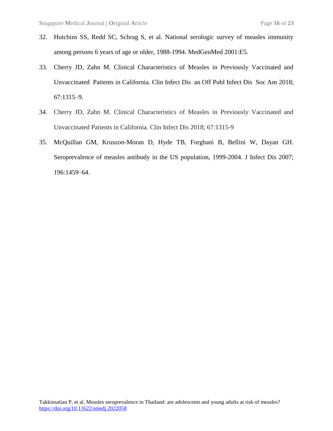- 32. Hutchins SS, Redd SC, Schrag S, et al. National serologic survey of measles immunity among persons 6 years of age or older, 1988-1994. MedGenMed 2001:E5.
- 33. Cherry JD, Zahn M. Clinical Characteristics of Measles in Previously Vaccinated and Unvaccinated Patients in California. Clin Infect Dis an Off Publ Infect Dis Soc Am 2018; 67:1315–9.
- 34. Cherry JD, Zahn M. Clinical Characteristics of Measles in Previously Vaccinated and Unvaccinated Patients in California. Clin Infect Dis 2018; 67:1315-9
- 35. McQuillan GM, Kruszon-Moran D, Hyde TB, Forghani B, Bellini W, Dayan GH. Seroprevalence of measles antibody in the US population, 1999-2004. J Infect Dis 2007; 196:1459–64.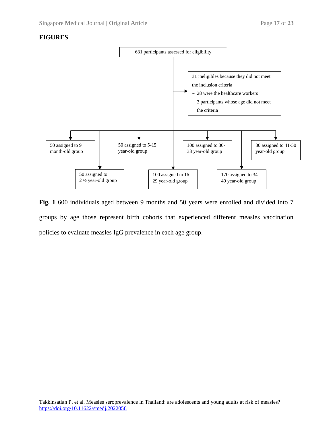### **FIGURES**



**Fig. 1** 600 individuals aged between 9 months and 50 years were enrolled and divided into 7 groups by age those represent birth cohorts that experienced different measles vaccination policies to evaluate measles IgG prevalence in each age group.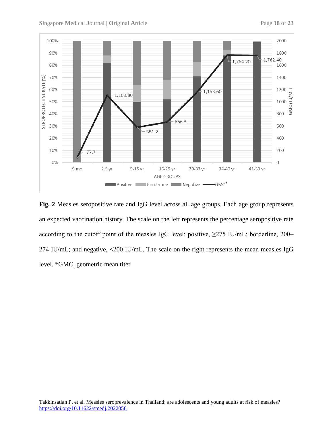

**Fig. 2** Measles seropositive rate and IgG level across all age groups. Each age group represents an expected vaccination history. The scale on the left represents the percentage seropositive rate according to the cutoff point of the measles IgG level: positive,  $\geq$ 275 IU/mL; borderline, 200– 274 IU/mL; and negative, <200 IU/mL. The scale on the right represents the mean measles IgG level. \*GMC, geometric mean titer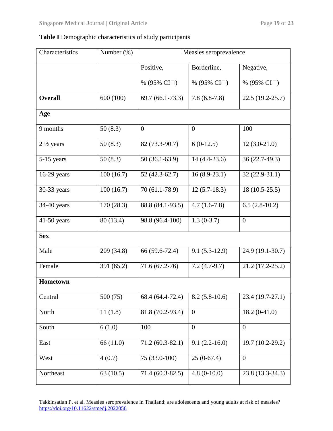## **Table I** Demographic characteristics of study participants

| Characteristics           | Number $(\%)$ | Measles seroprevalence |                                   |                    |  |  |  |
|---------------------------|---------------|------------------------|-----------------------------------|--------------------|--|--|--|
|                           |               | Positive,              | Borderline,                       | Negative,          |  |  |  |
|                           |               | % (95% CI $\Box$ )     | % (95% CI $\Box$ )                | % (95% CI $\Box$ ) |  |  |  |
| <b>Overall</b>            | 600 (100)     | $69.7(66.1-73.3)$      | $7.8(6.8-7.8)$                    | $22.5(19.2-25.7)$  |  |  |  |
| Age                       |               |                        |                                   |                    |  |  |  |
| 9 months                  | 50(8.3)       | $\mathbf{0}$           | $\boldsymbol{0}$                  | 100                |  |  |  |
| $2\frac{1}{2}$ years      | 50(8.3)       | 82 (73.3-90.7)         | $6(0-12.5)$                       | $12(3.0-21.0)$     |  |  |  |
| 5-15 years                | 50(8.3)       | $50(36.1-63.9)$        | $14(4.4-23.6)$                    | 36 (22.7-49.3)     |  |  |  |
| $16-29$ years             | 100(16.7)     | $52(42.3-62.7)$        | $16(8.9-23.1)$                    | $32(22.9-31.1)$    |  |  |  |
| 30-33 years               | 100(16.7)     | 70 (61.1-78.9)         | $12(5.7-18.3)$                    | $18(10.5-25.5)$    |  |  |  |
| $\overline{3}$ 4-40 years | 170 (28.3)    | 88.8 (84.1-93.5)       | $4.7(1.6-7.8)$                    | $6.5(2.8-10.2)$    |  |  |  |
| $41-50$ years             | 80 (13.4)     | 98.8 (96.4-100)        | $1.3(0-3.7)$                      | $\overline{0}$     |  |  |  |
| <b>Sex</b>                |               |                        |                                   |                    |  |  |  |
| Male                      | 209 (34.8)    | 66 (59.6-72.4)         | $9.1(5.3-12.9)$                   | 24.9 (19.1-30.7)   |  |  |  |
| Female                    | 391 (65.2)    | 71.6 (67.2-76)         | $7.2(4.7-9.7)$                    | $21.2(17.2-25.2)$  |  |  |  |
| Hometown                  |               |                        |                                   |                    |  |  |  |
| Central                   | 500 (75)      | 68.4 (64.4-72.4)       | $8.2(5.8-10.6)$                   | 23.4 (19.7-27.1)   |  |  |  |
| North                     | 11(1.8)       | 81.8 (70.2-93.4)       | $\overline{0}$                    | $18.2(0-41.0)$     |  |  |  |
| South                     | 6(1.0)        | 100                    | $\overline{0}$                    | $\overline{0}$     |  |  |  |
| East                      | 66(11.0)      | $71.2(60.3-82.1)$      | $9.1(2.2-16.0)$                   | 19.7 (10.2-29.2)   |  |  |  |
| West                      | 4(0.7)        | 75 (33.0-100)          | $25(0-67.4)$                      | $\overline{0}$     |  |  |  |
| Northeast                 | 63(10.5)      | $71.4(60.3-82.5)$      | $4.8(0-10.0)$<br>23.8 (13.3-34.3) |                    |  |  |  |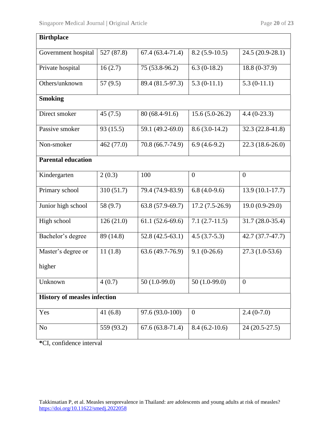| <b>Birthplace</b>                   |            |                   |                             |                   |  |  |  |  |  |
|-------------------------------------|------------|-------------------|-----------------------------|-------------------|--|--|--|--|--|
| Government hospital                 | 527 (87.8) | $67.4(63.4-71.4)$ | $8.2(5.9-10.5)$             | 24.5 (20.9-28.1)  |  |  |  |  |  |
| Private hospital                    | 16(2.7)    | 75 (53.8-96.2)    | $6.3(0-18.2)$               | 18.8 (0-37.9)     |  |  |  |  |  |
| Others/unknown                      | 57(9.5)    | 89.4 (81.5-97.3)  | 5.3 $(0-11.\overline{1})$   | $5.3(0-11.1)$     |  |  |  |  |  |
| <b>Smoking</b>                      |            |                   |                             |                   |  |  |  |  |  |
| Direct smoker                       | 45(7.5)    | 80 (68.4-91.6)    | $15.6(5.0-26.2)$            | $4.4(0-23.3)$     |  |  |  |  |  |
| Passive smoker                      | 93 (15.5)  | 59.1 (49.2-69.0)  | $8.6(3.0-14.2)$             | $32.3(22.8-41.8)$ |  |  |  |  |  |
| Non-smoker                          | 462 (77.0) | 70.8 (66.7-74.9)  | $6.9(4.6-9.2)$              | $22.3(18.6-26.0)$ |  |  |  |  |  |
| <b>Parental education</b>           |            |                   |                             |                   |  |  |  |  |  |
| Kindergarten                        | 2(0.3)     | 100               | $\overline{0}$              | $\boldsymbol{0}$  |  |  |  |  |  |
| Primary school                      | 310 (51.7) | 79.4 (74.9-83.9)  | $6.8(4.0-9.6)$              | $13.9(10.1-17.7)$ |  |  |  |  |  |
| Junior high school                  | 58 (9.7)   | $63.8(57.9-69.7)$ | $17.2(7.5-26.9)$            | $19.0(0.9-29.0)$  |  |  |  |  |  |
| High school                         | 126(21.0)  | $61.1(52.6-69.6)$ | $7.1(2.7-11.5)$             | 31.7 (28.0-35.4)  |  |  |  |  |  |
| Bachelor's degree                   | 89 (14.8)  | $52.8(42.5-63.1)$ | $4.5(3.7-5.3)$              | $42.7(37.7-47.7)$ |  |  |  |  |  |
| Master's degree or                  | 11(1.8)    | $63.6(49.7-76.9)$ | $9.1(0-26.6)$               | $27.3(1.0-53.6)$  |  |  |  |  |  |
| higher                              |            |                   |                             |                   |  |  |  |  |  |
| Unknown                             | 4(0.7)     | 50 $(1.0-99.0)$   | $50(1.0-99.0)$              | $\boldsymbol{0}$  |  |  |  |  |  |
| <b>History of measles infection</b> |            |                   |                             |                   |  |  |  |  |  |
| Yes                                 | 41(6.8)    | 97.6 (93.0-100)   | $\boldsymbol{0}$            | $2.4(0-7.0)$      |  |  |  |  |  |
| N <sub>o</sub>                      | 559 (93.2) | $67.6(63.8-71.4)$ | $\overline{8.4}$ (6.2-10.6) | 24 (20.5-27.5)    |  |  |  |  |  |
|                                     |            |                   |                             |                   |  |  |  |  |  |

**\***CI, confidence interval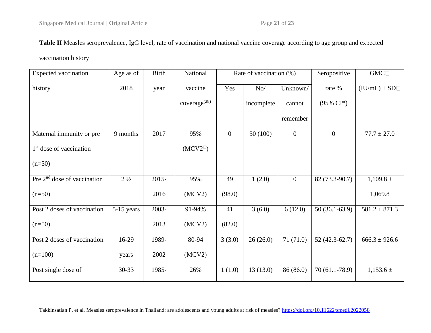## **Table II** Measles seroprevalence, IgG level, rate of vaccination and national vaccine coverage according to age group and expected

vaccination history

| <b>Expected vaccination</b>         | Age as of      | <b>Birth</b> | National                 | Rate of vaccination (%) |            |              | Seropositive         | $GMC \Box$        |
|-------------------------------------|----------------|--------------|--------------------------|-------------------------|------------|--------------|----------------------|-------------------|
| history                             | 2018           | year         | vaccine                  | Yes                     | No/        | Unknown/     | rate %               | $(IU/mL) \pm SD$  |
|                                     |                |              | coverage <sup>(28)</sup> |                         | incomplete | cannot       | $(95\% \text{ CI*})$ |                   |
|                                     |                |              |                          |                         |            | remember     |                      |                   |
| Maternal immunity or pre            | 9 months       | 2017         | 95%                      | $\overline{0}$          | 50(100)    | $\mathbf{0}$ | $\overline{0}$       | $77.7 \pm 27.0$   |
| 1 <sup>st</sup> dose of vaccination |                |              | $(MCV2^{\square})$       |                         |            |              |                      |                   |
| $(n=50)$                            |                |              |                          |                         |            |              |                      |                   |
| Pre $2nd$ dose of vaccination       | $2\frac{1}{2}$ | $2015 -$     | 95%                      | 49                      | 1(2.0)     | $\mathbf{0}$ | 82 (73.3-90.7)       | $1,109.8 \pm$     |
| $(n=50)$                            |                | 2016         | (MCV2)                   | (98.0)                  |            |              |                      | 1,069.8           |
| Post 2 doses of vaccination         | $5-15$ years   | 2003-        | 91-94%                   | 41                      | 3(6.0)     | 6(12.0)      | $50(36.1-63.9)$      | $581.2 \pm 871.3$ |
| $(n=50)$                            |                | 2013         | (MCV2)                   | (82.0)                  |            |              |                      |                   |
| Post 2 doses of vaccination         | $16-29$        | 1989-        | 80-94                    | 3(3.0)                  | 26(26.0)   | 71(71.0)     | $52(42.3-62.7)$      | $666.3 \pm 926.6$ |
| $(n=100)$                           | years          | 2002         | (MCV2)                   |                         |            |              |                      |                   |
| Post single dose of                 | $30 - 33$      | 1985-        | 26%                      | 1(1.0)                  | 13(13.0)   | 86 (86.0)    | $70(61.1-78.9)$      | $1,153.6 \pm$     |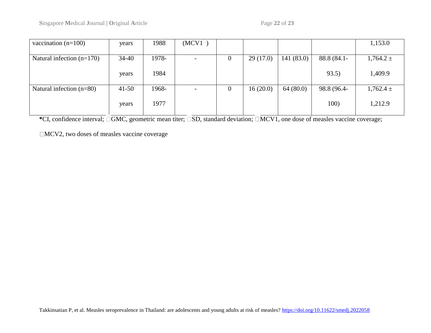| vaccination $(n=100)$       | years     | 1988  | $(MCV1^{\square})$ |                |          |           |             | 1,153.0       |
|-----------------------------|-----------|-------|--------------------|----------------|----------|-----------|-------------|---------------|
|                             |           |       |                    |                |          |           |             |               |
| Natural infection $(n=170)$ | $34 - 40$ | 1978- |                    | $\overline{0}$ | 29(17.0) | 141(83.0) | 88.8 (84.1- | $1,764.2 \pm$ |
|                             |           |       |                    |                |          |           |             |               |
|                             | years     | 1984  |                    |                |          |           | 93.5)       | 1,409.9       |
|                             |           |       |                    |                |          |           |             |               |
| Natural infection $(n=80)$  | $41 - 50$ | 1968- |                    | $\theta$       | 16(20.0) | 64(80.0)  | 98.8 (96.4- | $1,762.4 \pm$ |
|                             |           |       |                    |                |          |           |             |               |
|                             | years     | 1977  |                    |                |          |           | 100)        | 1,212.9       |
|                             |           |       |                    |                |          |           |             |               |

**\***CI, confidence interval; □GMC, geometric mean titer; □SD, standard deviation; □MCV1, one dose of measles vaccine coverage;

MCV2, two doses of measles vaccine coverage